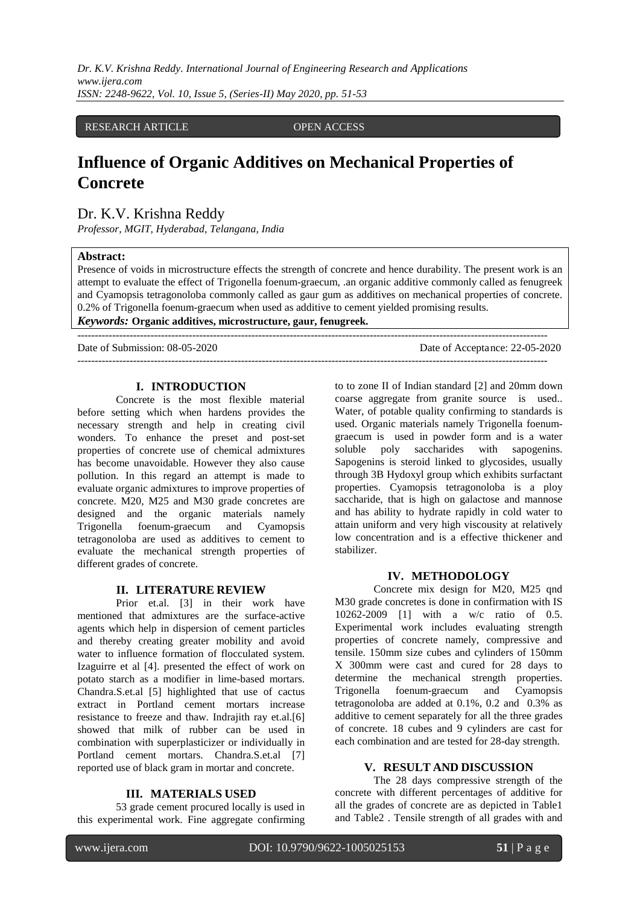*Dr. K.V. Krishna Reddy. International Journal of Engineering Research and Applications www.ijera.com ISSN: 2248-9622, Vol. 10, Issue 5, (Series-II) May 2020, pp. 51-53*

RESEARCH ARTICLE OPEN ACCESS

# **Influence of Organic Additives on Mechanical Properties of Concrete**

Dr. K.V. Krishna Reddy

*Professor, MGIT, Hyderabad, Telangana, India*

#### **Abstract:**

Presence of voids in microstructure effects the strength of concrete and hence durability. The present work is an attempt to evaluate the effect of Trigonella foenum-graecum, .an organic additive commonly called as fenugreek and Cyamopsis tetragonoloba commonly called as gaur gum as additives on mechanical properties of concrete. 0.2% of Trigonella foenum-graecum when used as additive to cement yielded promising results.

---------------------------------------------------------------------------------------------------------------------------------------

*Keywords:* **Organic additives, microstructure, gaur, fenugreek.** ---------------------------------------------------------------------------------------------------------------------------------------

Date of Submission: 08-05-2020 Date of Acceptance: 22-05-2020

#### **I. INTRODUCTION**

Concrete is the most flexible material before setting which when hardens provides the necessary strength and help in creating civil wonders. To enhance the preset and post-set properties of concrete use of chemical admixtures has become unavoidable. However they also cause pollution. In this regard an attempt is made to evaluate organic admixtures to improve properties of concrete. M20, M25 and M30 grade concretes are designed and the organic materials namely Trigonella foenum-graecum and Cyamopsis tetragonoloba are used as additives to cement to evaluate the mechanical strength properties of different grades of concrete.

## **II. LITERATURE REVIEW**

Prior et.al. [3] in their work have mentioned that admixtures are the surface-active agents which help in dispersion of cement particles and thereby creating greater mobility and avoid water to influence formation of flocculated system. Izaguirre et al [4]. presented the effect of work on potato starch as a modifier in lime-based mortars. Chandra.S.et.al [5] highlighted that use of cactus extract in Portland cement mortars increase resistance to freeze and thaw. Indrajith ray et.al.[6] showed that milk of rubber can be used in combination with superplasticizer or individually in Portland cement mortars. Chandra.S.et.al [7] reported use of black gram in mortar and concrete.

## **III. MATERIALS USED**

53 grade cement procured locally is used in this experimental work. Fine aggregate confirming

to to zone II of Indian standard [2] and 20mm down coarse aggregate from granite source is used.. Water, of potable quality confirming to standards is used. Organic materials namely Trigonella foenumgraecum is used in powder form and is a water soluble poly saccharides with sapogenins. Sapogenins is steroid linked to glycosides, usually through 3B Hydoxyl group which exhibits surfactant properties. Cyamopsis tetragonoloba is a ploy saccharide, that is high on galactose and mannose and has ability to hydrate rapidly in cold water to attain uniform and very high viscousity at relatively low concentration and is a effective thickener and stabilizer.

## **IV. METHODOLOGY**

Concrete mix design for M20, M25 qnd M30 grade concretes is done in confirmation with IS 10262-2009 [1] with a w/c ratio of 0.5. Experimental work includes evaluating strength properties of concrete namely, compressive and tensile. 150mm size cubes and cylinders of 150mm X 300mm were cast and cured for 28 days to determine the mechanical strength properties. Trigonella foenum-graecum and Cyamopsis tetragonoloba are added at 0.1%, 0.2 and 0.3% as additive to cement separately for all the three grades of concrete. 18 cubes and 9 cylinders are cast for each combination and are tested for 28-day strength.

## **V. RESULT AND DISCUSSION**

The 28 days compressive strength of the concrete with different percentages of additive for all the grades of concrete are as depicted in Table1 and Table2 . Tensile strength of all grades with and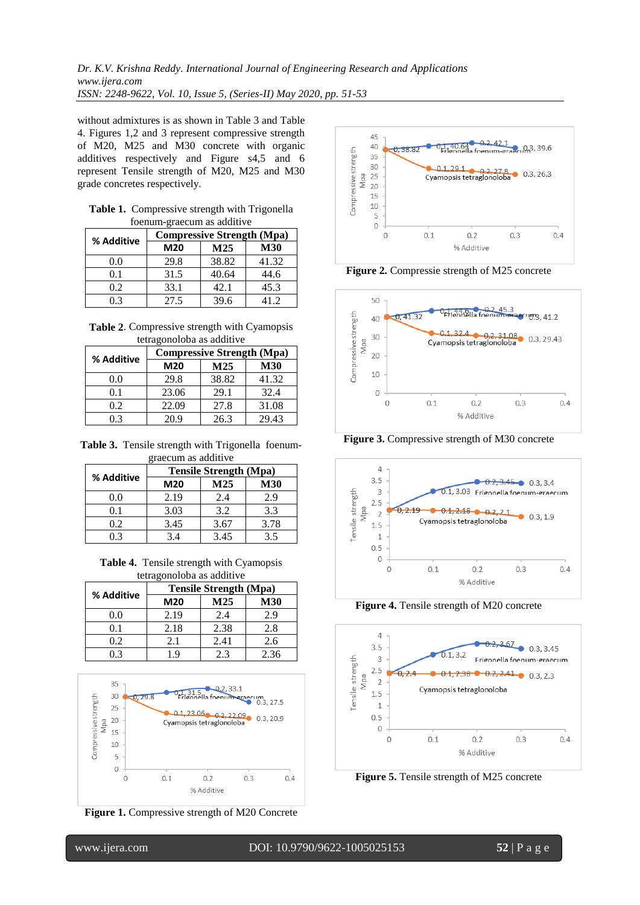without admixtures is as shown in Table 3 and Table 4. Figures 1,2 and 3 represent compressive strength of M20, M25 and M30 concrete with organic additives respectively and Figure s4,5 and 6 represent Tensile strength of M20, M25 and M30 grade concretes respectively.

| <b>Table 1.</b> Compressive strength with Trigonella |
|------------------------------------------------------|
| foenum-graecum as additive                           |

| % Additive | <b>Compressive Strength (Mpa)</b> |                 |            |
|------------|-----------------------------------|-----------------|------------|
|            | M20                               | M <sub>25</sub> | <b>M30</b> |
| 0.0        | 29.8                              | 38.82           | 41.32      |
| 0.1        | 31.5                              | 40.64           | 44.6       |
| 0.2        | 33.1                              | 42.1            | 45.3       |
| 0 3        | 27.5                              | 39.6            | 412        |

**Table 2**. Compressive strength with Cyamopsis tetragonoloba as additive

|            | <b>Compressive Strength (Mpa)</b> |                 |            |
|------------|-----------------------------------|-----------------|------------|
| % Additive | M20                               | M <sub>25</sub> | <b>M30</b> |
| 0.0        | 29.8                              | 38.82           | 41.32      |
| 0.1        | 23.06                             | 29.1            | 32.4       |
| 0.2        | 22.09                             | 27.8            | 31.08      |
| 0 3        | 20 9                              | 26.3            | 29.43      |

**Table 3.** Tensile strength with Trigonella foenumgraecum as additive

|            | $\mathbb{R}^2$ we want the western . $\bullet$<br><b>Tensile Strength (Mpa)</b> |      |            |
|------------|---------------------------------------------------------------------------------|------|------------|
| % Additive | M20                                                                             | M25  | <b>M30</b> |
| 0.0        | 2.19                                                                            | 2.4  | 2.9        |
| 0.1        | 3.03                                                                            | 3.2  | 3.3        |
| 0.2        | 3.45                                                                            | 3.67 | 3.78       |
|            | 3.4                                                                             | 3.45 | 3.5        |

| Table 4. Tensile strength with Cyamopsis |
|------------------------------------------|
| tetragonoloba as additive                |

|            | <b>Tensile Strength (Mpa)</b> |                 |            |
|------------|-------------------------------|-----------------|------------|
| % Additive | M20                           | M <sub>25</sub> | <b>M30</b> |
| 0.0        | 2.19                          | 2.4             | 2.9        |
| 0.1        | 2.18                          | 2.38            | 2.8        |
| 0.2        | 2.1                           | 2.41            | 2.6        |
|            | - Q                           | 2.3             | 2.36       |



**Figure 1.** Compressive strength of M20 Concrete



**Figure 2.** Compressie strength of M25 concrete



**Figure 3.** Compressive strength of M30 concrete



**Figure 4.** Tensile strength of M20 concrete



**Figure 5.** Tensile strength of M25 concrete